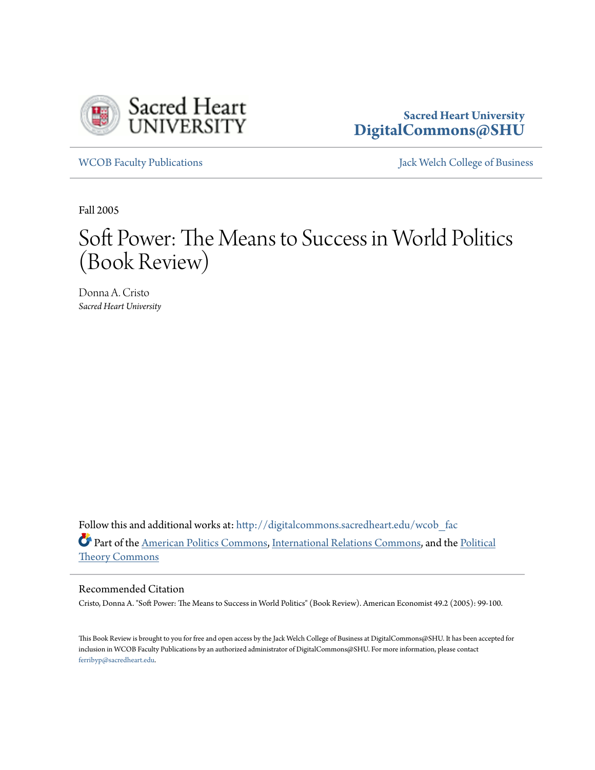

## **Sacred Heart University [DigitalCommons@SHU](http://digitalcommons.sacredheart.edu?utm_source=digitalcommons.sacredheart.edu%2Fwcob_fac%2F269&utm_medium=PDF&utm_campaign=PDFCoverPages)**

[WCOB Faculty Publications](http://digitalcommons.sacredheart.edu/wcob_fac?utm_source=digitalcommons.sacredheart.edu%2Fwcob_fac%2F269&utm_medium=PDF&utm_campaign=PDFCoverPages) [Jack Welch College of Business](http://digitalcommons.sacredheart.edu/wcob?utm_source=digitalcommons.sacredheart.edu%2Fwcob_fac%2F269&utm_medium=PDF&utm_campaign=PDFCoverPages)

Fall 2005

# Soft Power: The Means to Success in World Politics (Book Review)

Donna A. Cristo *Sacred Heart University*

Follow this and additional works at: [http://digitalcommons.sacredheart.edu/wcob\\_fac](http://digitalcommons.sacredheart.edu/wcob_fac?utm_source=digitalcommons.sacredheart.edu%2Fwcob_fac%2F269&utm_medium=PDF&utm_campaign=PDFCoverPages) Part of the [American Politics Commons](http://network.bepress.com/hgg/discipline/387?utm_source=digitalcommons.sacredheart.edu%2Fwcob_fac%2F269&utm_medium=PDF&utm_campaign=PDFCoverPages), [International Relations Commons](http://network.bepress.com/hgg/discipline/389?utm_source=digitalcommons.sacredheart.edu%2Fwcob_fac%2F269&utm_medium=PDF&utm_campaign=PDFCoverPages), and the [Political](http://network.bepress.com/hgg/discipline/391?utm_source=digitalcommons.sacredheart.edu%2Fwcob_fac%2F269&utm_medium=PDF&utm_campaign=PDFCoverPages) [Theory Commons](http://network.bepress.com/hgg/discipline/391?utm_source=digitalcommons.sacredheart.edu%2Fwcob_fac%2F269&utm_medium=PDF&utm_campaign=PDFCoverPages)

### Recommended Citation

Cristo, Donna A. "Soft Power: The Means to Success in World Politics" (Book Review). American Economist 49.2 (2005): 99-100.

This Book Review is brought to you for free and open access by the Jack Welch College of Business at DigitalCommons@SHU. It has been accepted for inclusion in WCOB Faculty Publications by an authorized administrator of DigitalCommons@SHU. For more information, please contact [ferribyp@sacredheart.edu](mailto:ferribyp@sacredheart.edu).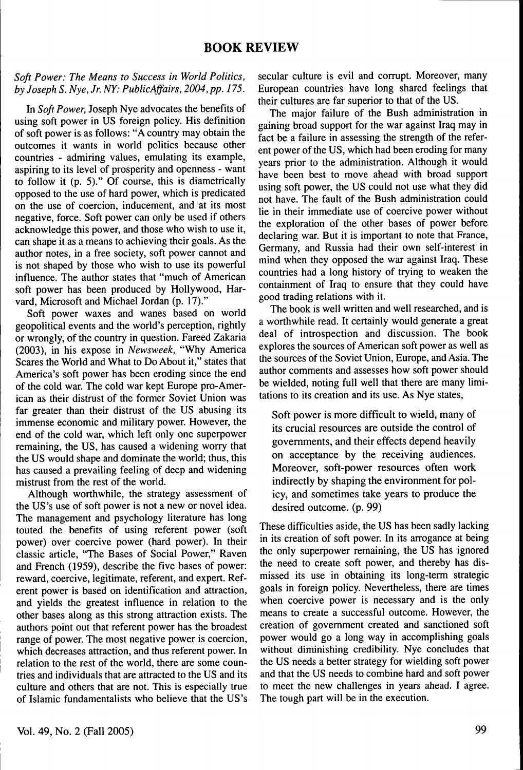#### *Soft Power: The Means to Success in World Politics, by Joseph S. Nye, Jr. NY: PublicAjfairs, 2004, pp. 175.*

In *Soft Power,* Joseph Nye advocates the benefits of using soft power in US foreign policy. His definition of soft power is as follows: "A country may obtain the outcomes it wants in world politics because other countries - admiring values, emulating its example, aspiring to its level of prosperity and openness - want to follow it (p. 5)." Of course, this is diametrically opposed to the use of hard power, which is predicated on the use of coercion, inducement, and at its most negative, force. Soft power can only be used if others acknowledge this power, and those who wish to use it, can shape it as a means to achieving their goals. As the author notes, in a free society, soft power cannot and is not shaped by those who wish to use its powerful influence. The author states that "much of American soft power has been produced by Hollywood, Harvard, Microsoft and Michael Jordan (p. 17)."

Soft power waxes and wanes based on world geopolitical events and the world's perception, rightly or wrongly, of the country in question. Fareed Zakaria (2003), in his expose in *Newsweek,* "Why America Scares the World and What to Do About it," states that America's soft power has been eroding since the end of the cold war. The cold war kept Europe pro-American as their distrust of the former Soviet Union was far greater than their distrust of the US abusing its immense economic and military power. However, the end of the cold war, which left only one superpower remaining, the US, has caused a widening worry that the US would shape and dominate the world; thus, this has caused a prevailing feeling of deep and widening mistrust from the rest of the world.

Although worthwhile, the strategy assessment of the US's use of soft power is not a new or novel idea. The management and psychology literature has long touted the benefits of using referent power (soft power) over coercive power (hard power). In their classic article, "The Bases of Social Power," Raven and French (1959), describe the five bases of power: reward, coercive, legitimate, referent, and expert. Referent power is based on identification and attraction, and yields the greatest influence in relation to the other bases along as this strong attraction exists. The authors point out that referent power has the broadest range of power. The most negative power is coercion, which decreases attraction, and thus referent power. In relation to the rest of the world, there are some countries and individuals that are attracted to the US and its culture and others that are not. This is especially true of Islamic fundamentalists who believe that the US's

secular culture is evil and corrupt. Moreover, many European countries have long shared feelings that their cultures are far superior to that of the US.

The major failure of the Bush administration in gaining broad support for the war against Iraq may in fact be a failure in assessing the strength of the referent power of the US, which had been eroding for many years prior to the administration. Although it would have been best to move ahead with broad support using soft power, the US could not use what they did not have. The fault of the Bush administration could lie in their immediate use of coercive power without the exploration of the other bases of power before declaring war. But it is important to note that France, Germany, and Russia had their own self-interest in mind when they opposed the war against Iraq. These countries had a long history of trying to weaken the containment of Iraq to ensure that they could have good trading relations with it.

The book is well written and well researched, and is a worthwhile read. It certainly would generate a great deal of introspection and discussion. The book explores the sources of American soft power as well as the sources of the Soviet Union, Europe, and Asia. The author comments and assesses how soft power should be wielded, noting full well that there are many limitations to its creation and its use. As Nye states.

Soft power is more difficult to wield, many of its crucial resources are outside the control of governments, and their effects depend heavily on acceptance by the receiving audiences. Moreover, soft-power resources often work indirectly by shaping the environment for policy, and sometimes take years to produce the desired outcome, (p. 99)

These difficulties aside, the US has been sadly lacking in its creation of soft power. In its arrogance at being the only superpower remaining, the US has ignored the need to create soft power, and thereby has dismissed its use in obtaining its long-term strategic goals in foreign policy. Nevertheless, there are times when coercive power is necessary and is the only means to create a successful outcome. However, the creation of government created and sanctioned soft power would go a long way in accomplishing goals without diminishing credibility. Nye concludes that the US needs a better strategy for wielding soft power and that the US needs to combine hard and soft power to meet the new challenges in years ahead. I agree. The tough part will be in the execution.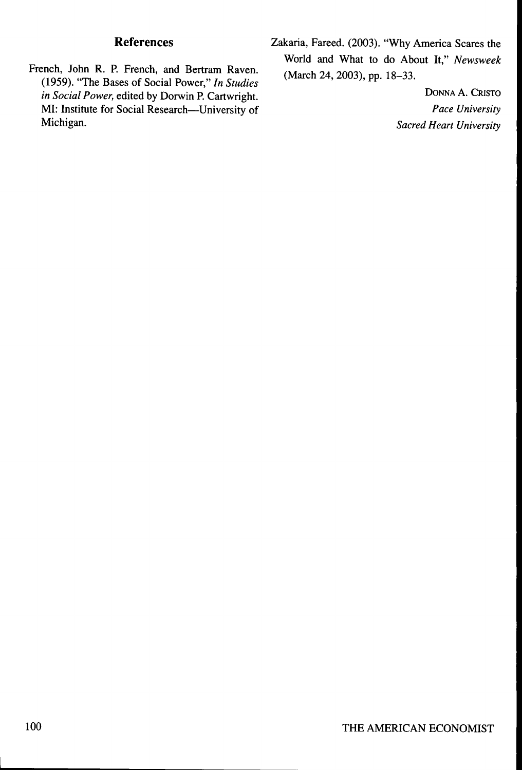- French, John R. P. French, and Bertram Raven. (March 24, 2003), pp. 18–33. (1959). "The Bases of Social Power," In Studies *in Social Power,* edited by Dorwin P. Cartwright.<br>
MI: Institute for Social Research—University of Pace University MI: Institute for Social Research—University of Michigan.
- **References** Zakaria, Fareed. (2003). "Why America Scares the World and What to do About It," *Newsweek*

**Sacred Heart University**